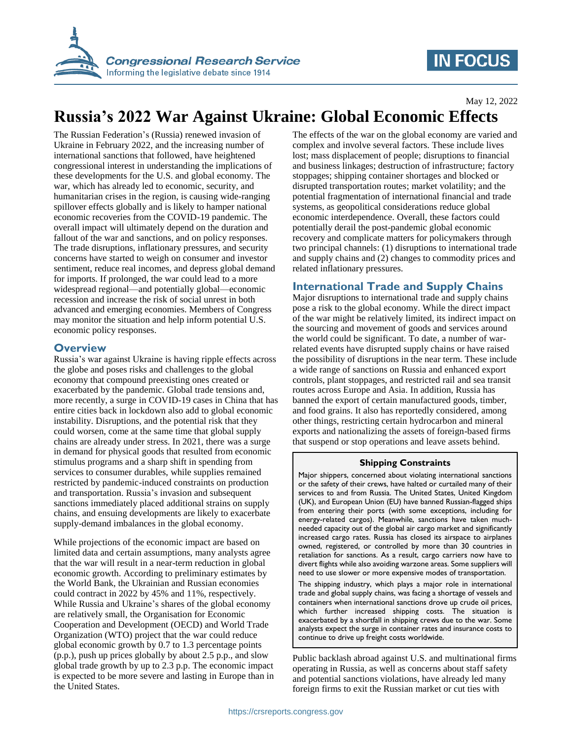

## **IN FOCUS**

May 12, 2022

# **Russia's 2022 War Against Ukraine: Global Economic Effects**

The Russian Federation's (Russia) renewed invasion of Ukraine in February 2022, and the increasing number of international sanctions that followed, have heightened congressional interest in understanding the implications of these developments for the U.S. and global economy. The war, which has already led to economic, security, and humanitarian crises in the region, is causing wide-ranging spillover effects globally and is likely to hamper national economic recoveries from the COVID-19 pandemic. The overall impact will ultimately depend on the duration and fallout of the war and sanctions, and on policy responses. The trade disruptions, inflationary pressures, and security concerns have started to weigh on consumer and investor sentiment, reduce real incomes, and depress global demand for imports. If prolonged, the war could lead to a more widespread regional—and potentially global—economic recession and increase the risk of social unrest in both advanced and emerging economies. Members of Congress may monitor the situation and help inform potential U.S. economic policy responses.

#### **Overview**

Russia's war against Ukraine is having ripple effects across the globe and poses risks and challenges to the global economy that compound preexisting ones created or exacerbated by the pandemic. Global trade tensions and, more recently, a surge in COVID-19 cases in China that has entire cities back in lockdown also add to global economic instability. Disruptions, and the potential risk that they could worsen, come at the same time that global supply chains are already under stress. In 2021, there was a surge in demand for physical goods that resulted from economic stimulus programs and a sharp shift in spending from services to consumer durables, while supplies remained restricted by pandemic-induced constraints on production and transportation. Russia's invasion and subsequent sanctions immediately placed additional strains on supply chains, and ensuing developments are likely to exacerbate supply-demand imbalances in the global economy.

While projections of the economic impact are based on limited data and certain assumptions, many analysts agree that the war will result in a near-term reduction in global economic growth. According to preliminary estimates by the World Bank, the Ukrainian and Russian economies could contract in 2022 by 45% and 11%, respectively. While Russia and Ukraine's shares of the global economy are relatively small, the Organisation for Economic Cooperation and Development (OECD) and World Trade Organization (WTO) project that the war could reduce global economic growth by 0.7 to 1.3 percentage points (p.p.), push up prices globally by about 2.5 p.p., and slow global trade growth by up to 2.3 p.p. The economic impact is expected to be more severe and lasting in Europe than in the United States.

The effects of the war on the global economy are varied and complex and involve several factors. These include lives lost; mass displacement of people; disruptions to financial and business linkages; destruction of infrastructure; factory stoppages; shipping container shortages and blocked or disrupted transportation routes; market volatility; and the potential fragmentation of international financial and trade systems, as geopolitical considerations reduce global economic interdependence. Overall, these factors could potentially derail the post-pandemic global economic recovery and complicate matters for policymakers through two principal channels: (1) disruptions to international trade and supply chains and (2) changes to commodity prices and related inflationary pressures.

### **International Trade and Supply Chains**

Major disruptions to international trade and supply chains pose a risk to the global economy. While the direct impact of the war might be relatively limited, its indirect impact on the sourcing and movement of goods and services around the world could be significant. To date, a number of warrelated events have disrupted supply chains or have raised the possibility of disruptions in the near term. These include a wide range of sanctions on Russia and enhanced export controls, plant stoppages, and restricted rail and sea transit routes across Europe and Asia. In addition, Russia has banned the export of certain manufactured goods, timber, and food grains. It also has reportedly considered, among other things, restricting certain hydrocarbon and mineral exports and nationalizing the assets of foreign-based firms that suspend or stop operations and leave assets behind.

#### **Shipping Constraints**

Major shippers, concerned about violating international sanctions or the safety of their crews, have halted or curtailed many of their services to and from Russia. The United States, United Kingdom (UK), and European Union (EU) have banned Russian-flagged ships from entering their ports (with some exceptions, including for energy-related cargos). Meanwhile, sanctions have taken muchneeded capacity out of the global air cargo market and significantly increased cargo rates. Russia has closed its airspace to airplanes owned, registered, or controlled by more than 30 countries in retaliation for sanctions. As a result, cargo carriers now have to divert flights while also avoiding warzone areas. Some suppliers will need to use slower or more expensive modes of transportation.

The shipping industry, which plays a major role in international trade and global supply chains, was facing a shortage of vessels and containers when international sanctions drove up crude oil prices, which further increased shipping costs. The situation is exacerbated by a shortfall in shipping crews due to the war. Some analysts expect the surge in container rates and insurance costs to continue to drive up freight costs worldwide.

Public backlash abroad against U.S. and multinational firms operating in Russia, as well as concerns about staff safety and potential sanctions violations, have already led many foreign firms to exit the Russian market or cut ties with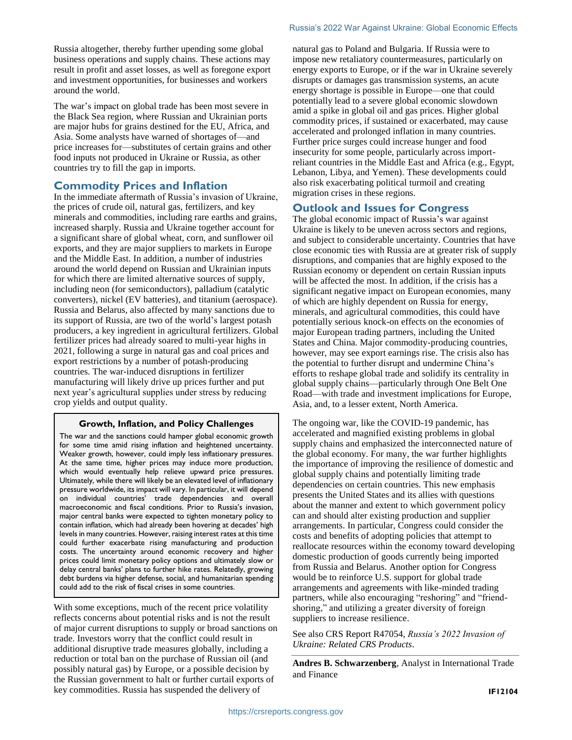Russia altogether, thereby further upending some global business operations and supply chains. These actions may result in profit and asset losses, as well as foregone export and investment opportunities, for businesses and workers around the world.

The war's impact on global trade has been most severe in the Black Sea region, where Russian and Ukrainian ports are major hubs for grains destined for the EU, Africa, and Asia. Some analysts have warned of shortages of—and price increases for—substitutes of certain grains and other food inputs not produced in Ukraine or Russia, as other countries try to fill the gap in imports.

#### **Commodity Prices and Inflation**

In the immediate aftermath of Russia's invasion of Ukraine, the prices of crude oil, natural gas, fertilizers, and key minerals and commodities, including rare earths and grains, increased sharply. Russia and Ukraine together account for a significant share of global wheat, corn, and sunflower oil exports, and they are major suppliers to markets in Europe and the Middle East. In addition, a number of industries around the world depend on Russian and Ukrainian inputs for which there are limited alternative sources of supply, including neon (for semiconductors), palladium (catalytic converters), nickel (EV batteries), and titanium (aerospace). Russia and Belarus, also affected by many sanctions due to its support of Russia, are two of the world's largest potash producers, a key ingredient in agricultural fertilizers. Global fertilizer prices had already soared to multi-year highs in 2021, following a surge in natural gas and coal prices and export restrictions by a number of potash-producing countries. The war-induced disruptions in fertilizer manufacturing will likely drive up prices further and put next year's agricultural supplies under stress by reducing crop yields and output quality.

#### **Growth, Inflation, and Policy Challenges**

The war and the sanctions could hamper global economic growth for some time amid rising inflation and heightened uncertainty. Weaker growth, however, could imply less inflationary pressures. At the same time, higher prices may induce more production, which would eventually help relieve upward price pressures. Ultimately, while there will likely be an elevated level of inflationary pressure worldwide, its impact will vary. In particular, it will depend on individual countries' trade dependencies and overall macroeconomic and fiscal conditions. Prior to Russia's invasion, major central banks were expected to tighten monetary policy to contain inflation, which had already been hovering at decades' high levels in many countries. However, raising interest rates at this time could further exacerbate rising manufacturing and production costs. The uncertainty around economic recovery and higher prices could limit monetary policy options and ultimately slow or delay central banks' plans to further hike rates. Relatedly, growing debt burdens via higher defense, social, and humanitarian spending could add to the risk of fiscal crises in some countries.

With some exceptions, much of the recent price volatility reflects concerns about potential risks and is not the result of major current disruptions to supply or broad sanctions on trade. Investors worry that the conflict could result in additional disruptive trade measures globally, including a reduction or total ban on the purchase of Russian oil (and possibly natural gas) by Europe, or a possible decision by the Russian government to halt or further curtail exports of key commodities. Russia has suspended the delivery of

natural gas to Poland and Bulgaria. If Russia were to impose new retaliatory countermeasures, particularly on energy exports to Europe, or if the war in Ukraine severely disrupts or damages gas transmission systems, an acute energy shortage is possible in Europe—one that could potentially lead to a severe global economic slowdown amid a spike in global oil and gas prices. Higher global commodity prices, if sustained or exacerbated, may cause accelerated and prolonged inflation in many countries. Further price surges could increase hunger and food insecurity for some people, particularly across importreliant countries in the Middle East and Africa (e.g., Egypt, Lebanon, Libya, and Yemen). These developments could also risk exacerbating political turmoil and creating migration crises in these regions.

#### **Outlook and Issues for Congress**

The global economic impact of Russia's war against Ukraine is likely to be uneven across sectors and regions, and subject to considerable uncertainty. Countries that have close economic ties with Russia are at greater risk of supply disruptions, and companies that are highly exposed to the Russian economy or dependent on certain Russian inputs will be affected the most. In addition, if the crisis has a significant negative impact on European economies, many of which are highly dependent on Russia for energy, minerals, and agricultural commodities, this could have potentially serious knock-on effects on the economies of major European trading partners, including the United States and China. Major commodity-producing countries, however, may see export earnings rise. The crisis also has the potential to further disrupt and undermine China's efforts to reshape global trade and solidify its centrality in global supply chains—particularly through One Belt One Road—with trade and investment implications for Europe, Asia, and, to a lesser extent, North America.

The ongoing war, like the COVID-19 pandemic, has accelerated and magnified existing problems in global supply chains and emphasized the interconnected nature of the global economy. For many, the war further highlights the importance of improving the resilience of domestic and global supply chains and potentially limiting trade dependencies on certain countries. This new emphasis presents the United States and its allies with questions about the manner and extent to which government policy can and should alter existing production and supplier arrangements. In particular, Congress could consider the costs and benefits of adopting policies that attempt to reallocate resources within the economy toward developing domestic production of goods currently being imported from Russia and Belarus. Another option for Congress would be to reinforce U.S. support for global trade arrangements and agreements with like-minded trading partners, while also encouraging "reshoring" and "friendshoring," and utilizing a greater diversity of foreign suppliers to increase resilience.

See also CRS Report R47054, *Russia's 2022 Invasion of Ukraine: Related CRS Products*.

**Andres B. Schwarzenberg**, Analyst in International Trade and Finance